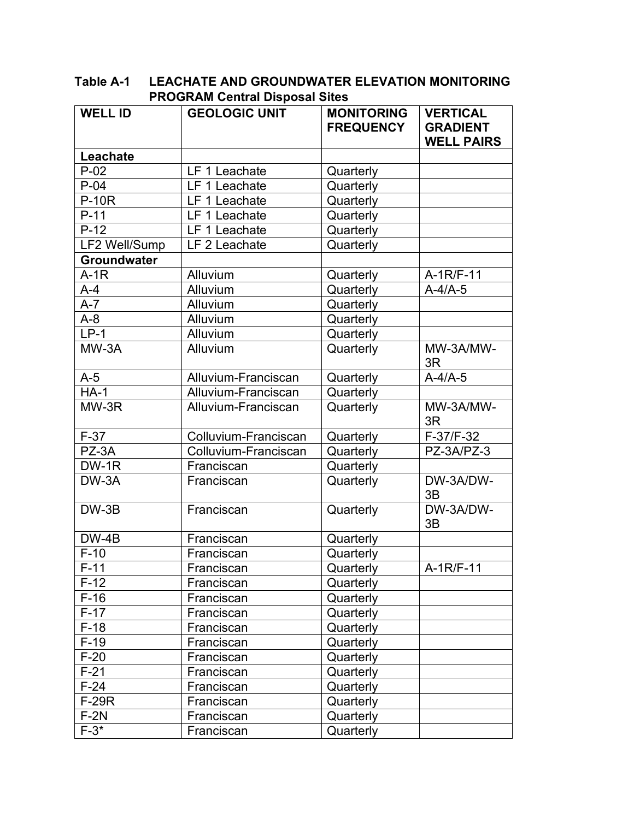| <b>WELL ID</b>     | <b>GEOLOGIC UNIT</b> | <b>MONITORING</b><br><b>FREQUENCY</b> | <b>VERTICAL</b><br><b>GRADIENT</b><br><b>WELL PAIRS</b> |
|--------------------|----------------------|---------------------------------------|---------------------------------------------------------|
| Leachate           |                      |                                       |                                                         |
| $P-02$             | LF 1 Leachate        | Quarterly                             |                                                         |
| $P-04$             | LF 1 Leachate        | Quarterly                             |                                                         |
| <b>P-10R</b>       | LF 1 Leachate        | Quarterly                             |                                                         |
| $P-11$             | LF 1 Leachate        | Quarterly                             |                                                         |
| $P-12$             | LF 1 Leachate        | Quarterly                             |                                                         |
| LF2 Well/Sump      | LF 2 Leachate        | Quarterly                             |                                                         |
| <b>Groundwater</b> |                      |                                       |                                                         |
| $A-1R$             | Alluvium             | Quarterly                             | A-1R/F-11                                               |
| $A - 4$            | Alluvium             | Quarterly                             | $A-4/A-5$                                               |
| $A-7$              | Alluvium             | Quarterly                             |                                                         |
| $A-8$              | Alluvium             | Quarterly                             |                                                         |
| $LP-1$             | Alluvium             | Quarterly                             |                                                         |
| MW-3A              | Alluvium             | Quarterly                             | MW-3A/MW-<br>3R                                         |
| $A-5$              | Alluvium-Franciscan  | Quarterly                             | $A-4/A-5$                                               |
| $HA-1$             | Alluvium-Franciscan  | Quarterly                             |                                                         |
| $MW-3R$            | Alluvium-Franciscan  | Quarterly                             | MW-3A/MW-<br>3R                                         |
| $F-37$             | Colluvium-Franciscan | Quarterly                             | F-37/F-32                                               |
| PZ-3A              | Colluvium-Franciscan | Quarterly                             | PZ-3A/PZ-3                                              |
| DW-1R              | Franciscan           | Quarterly                             |                                                         |
| DW-3A              | Franciscan           | Quarterly                             | DW-3A/DW-<br>3B                                         |
| $DW-3B$            | Franciscan           | Quarterly                             | DW-3A/DW-<br>3B                                         |
| DW-4B              | Franciscan           | Quarterly                             |                                                         |
| $F-10$             | Franciscan           | Quarterly                             |                                                         |
| $F-11$             | Franciscan           | Quarterly                             | A-1R/F-11                                               |
| $F-12$             | Franciscan           | Quarterly                             |                                                         |
| $F-16$             | Franciscan           | Quarterly                             |                                                         |
| $F-17$             | Franciscan           | Quarterly                             |                                                         |
| $F-18$             | Franciscan           | Quarterly                             |                                                         |
| $F-19$             | Franciscan           | Quarterly                             |                                                         |
| $F-20$             | Franciscan           | Quarterly                             |                                                         |
| $F-21$             | Franciscan           | Quarterly                             |                                                         |
| $F-24$             | Franciscan           | Quarterly                             |                                                         |
| <b>F-29R</b>       | Franciscan           | Quarterly                             |                                                         |
| $F-2N$             | Franciscan           | Quarterly                             |                                                         |
| $F-3*$             | Franciscan           | Quarterly                             |                                                         |

**Table A-1 LEACHATE AND GROUNDWATER ELEVATION MONITORING PROGRAM Central Disposal Sites**